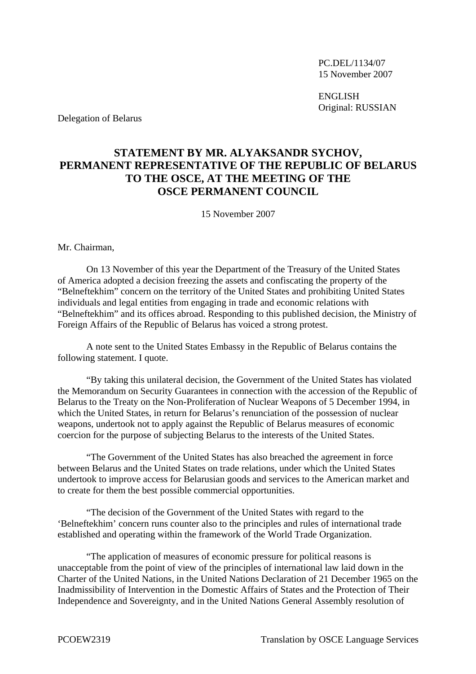PC.DEL/1134/07 15 November 2007

**ENGLISH** Original: RUSSIAN

Delegation of Belarus

## **STATEMENT BY MR. ALYAKSANDR SYCHOV, PERMANENT REPRESENTATIVE OF THE REPUBLIC OF BELARUS TO THE OSCE, AT THE MEETING OF THE OSCE PERMANENT COUNCIL**

15 November 2007

Mr. Chairman,

On 13 November of this year the Department of the Treasury of the United States of America adopted a decision freezing the assets and confiscating the property of the "Belneftekhim" concern on the territory of the United States and prohibiting United States individuals and legal entities from engaging in trade and economic relations with "Belneftekhim" and its offices abroad. Responding to this published decision, the Ministry of Foreign Affairs of the Republic of Belarus has voiced a strong protest.

A note sent to the United States Embassy in the Republic of Belarus contains the following statement. I quote.

"By taking this unilateral decision, the Government of the United States has violated the Memorandum on Security Guarantees in connection with the accession of the Republic of Belarus to the Treaty on the Non-Proliferation of Nuclear Weapons of 5 December 1994, in which the United States, in return for Belarus's renunciation of the possession of nuclear weapons, undertook not to apply against the Republic of Belarus measures of economic coercion for the purpose of subjecting Belarus to the interests of the United States.

"The Government of the United States has also breached the agreement in force between Belarus and the United States on trade relations, under which the United States undertook to improve access for Belarusian goods and services to the American market and to create for them the best possible commercial opportunities.

"The decision of the Government of the United States with regard to the 'Belneftekhim' concern runs counter also to the principles and rules of international trade established and operating within the framework of the World Trade Organization.

"The application of measures of economic pressure for political reasons is unacceptable from the point of view of the principles of international law laid down in the Charter of the United Nations, in the United Nations Declaration of 21 December 1965 on the Inadmissibility of Intervention in the Domestic Affairs of States and the Protection of Their Independence and Sovereignty, and in the United Nations General Assembly resolution of